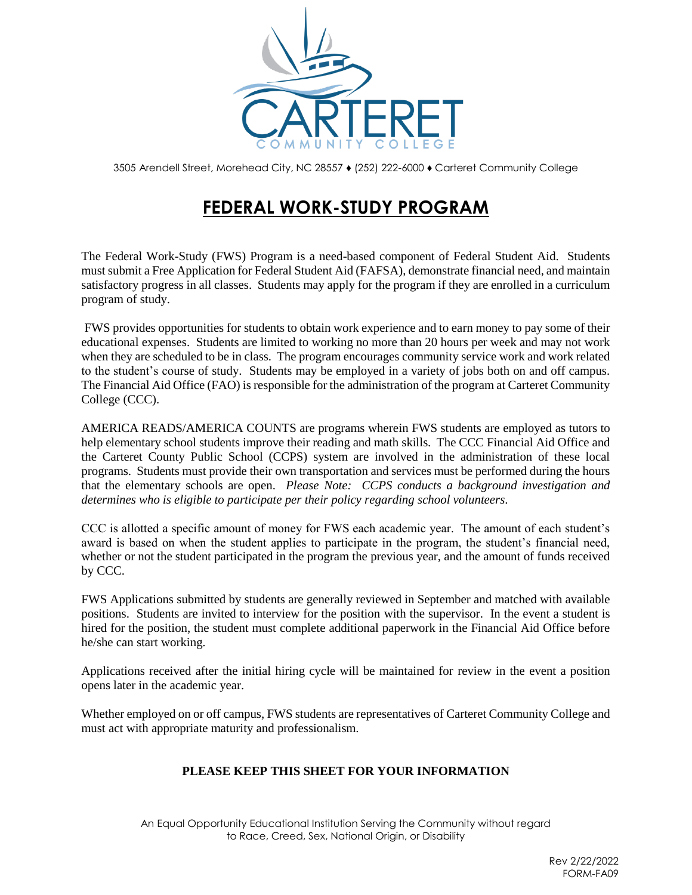

3505 Arendell Street, Morehead City, NC 28557 ♦ (252) 222-6000 ♦ [Carteret](http://www.carteret.edu/) Community College

## **FEDERAL WORK-STUDY PROGRAM**

The Federal Work-Study (FWS) Program is a need-based component of Federal Student Aid. Students must submit a Free Application for Federal Student Aid (FAFSA), demonstrate financial need, and maintain satisfactory progress in all classes. Students may apply for the program if they are enrolled in a curriculum program of study.

FWS provides opportunities for students to obtain work experience and to earn money to pay some of their educational expenses. Students are limited to working no more than 20 hours per week and may not work when they are scheduled to be in class. The program encourages community service work and work related to the student's course of study. Students may be employed in a variety of jobs both on and off campus. The Financial Aid Office (FAO) is responsible for the administration of the program at Carteret Community College (CCC).

AMERICA READS/AMERICA COUNTS are programs wherein FWS students are employed as tutors to help elementary school students improve their reading and math skills. The CCC Financial Aid Office and the Carteret County Public School (CCPS) system are involved in the administration of these local programs. Students must provide their own transportation and services must be performed during the hours that the elementary schools are open. *Please Note: CCPS conducts a background investigation and determines who is eligible to participate per their policy regarding school volunteers*.

CCC is allotted a specific amount of money for FWS each academic year. The amount of each student's award is based on when the student applies to participate in the program, the student's financial need, whether or not the student participated in the program the previous year, and the amount of funds received by CCC.

FWS Applications submitted by students are generally reviewed in September and matched with available positions. Students are invited to interview for the position with the supervisor. In the event a student is hired for the position, the student must complete additional paperwork in the Financial Aid Office before he/she can start working.

Applications received after the initial hiring cycle will be maintained for review in the event a position opens later in the academic year.

Whether employed on or off campus, FWS students are representatives of Carteret Community College and must act with appropriate maturity and professionalism.

## **PLEASE KEEP THIS SHEET FOR YOUR INFORMATION**

An Equal Opportunity Educational Institution Serving the Community without regard to Race, Creed, Sex, National Origin, or Disability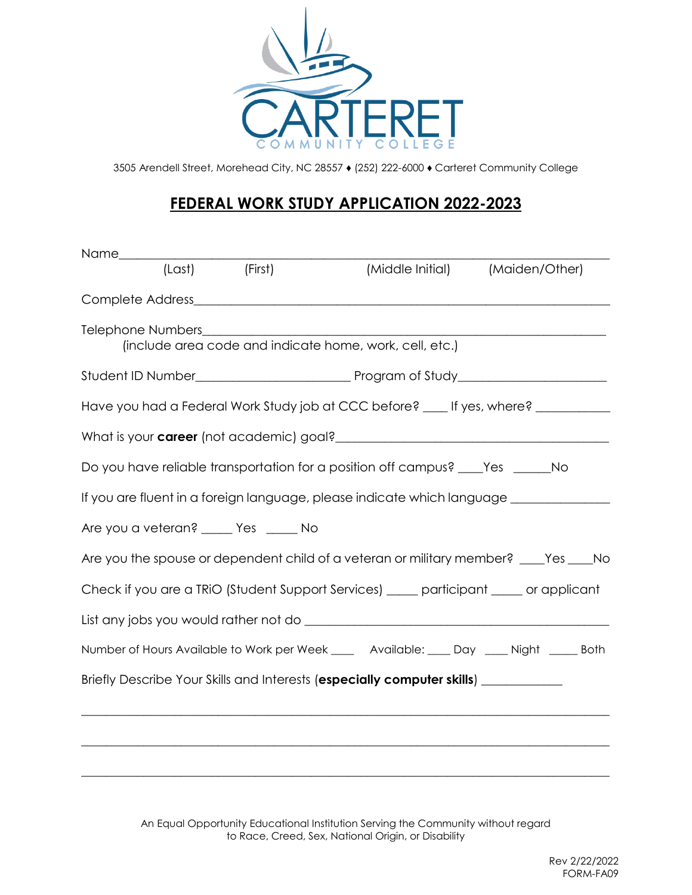

3505 Arendell Street, Morehead City, NC 28557 ♦ (252) 222-6000 ♦ [Carteret](http://www.carteret.edu/) Community College

## **FEDERAL WORK STUDY APPLICATION 2022-2023**

|                                                                                         | (Last) (First) |                                                                                           | (Middle Initial) (Maiden/Other) |
|-----------------------------------------------------------------------------------------|----------------|-------------------------------------------------------------------------------------------|---------------------------------|
|                                                                                         |                |                                                                                           |                                 |
|                                                                                         |                | (include area code and indicate home, work, cell, etc.)                                   |                                 |
|                                                                                         |                |                                                                                           |                                 |
| Have you had a Federal Work Study job at CCC before? ____ If yes, where? ___________    |                |                                                                                           |                                 |
|                                                                                         |                |                                                                                           |                                 |
| Do you have reliable transportation for a position off campus? ____Yes ______No         |                |                                                                                           |                                 |
| If you are fluent in a foreign language, please indicate which language _______________ |                |                                                                                           |                                 |
| Are you a veteran? _____ Yes _____ No                                                   |                |                                                                                           |                                 |
| Are you the spouse or dependent child of a veteran or military member? ____Yes ____No   |                |                                                                                           |                                 |
| Check if you are a TRIO (Student Support Services) ____ participant ____ or applicant   |                |                                                                                           |                                 |
|                                                                                         |                |                                                                                           |                                 |
|                                                                                         |                | Number of Hours Available to Work per Week ____ Available: ____ Day ____ Night _____ Both |                                 |
| Briefly Describe Your Skills and Interests (especially computer skills) _________       |                |                                                                                           |                                 |
|                                                                                         |                |                                                                                           |                                 |
|                                                                                         |                |                                                                                           |                                 |
|                                                                                         |                |                                                                                           |                                 |

An Equal Opportunity Educational Institution Serving the Community without regard to Race, Creed, Sex, National Origin, or Disability